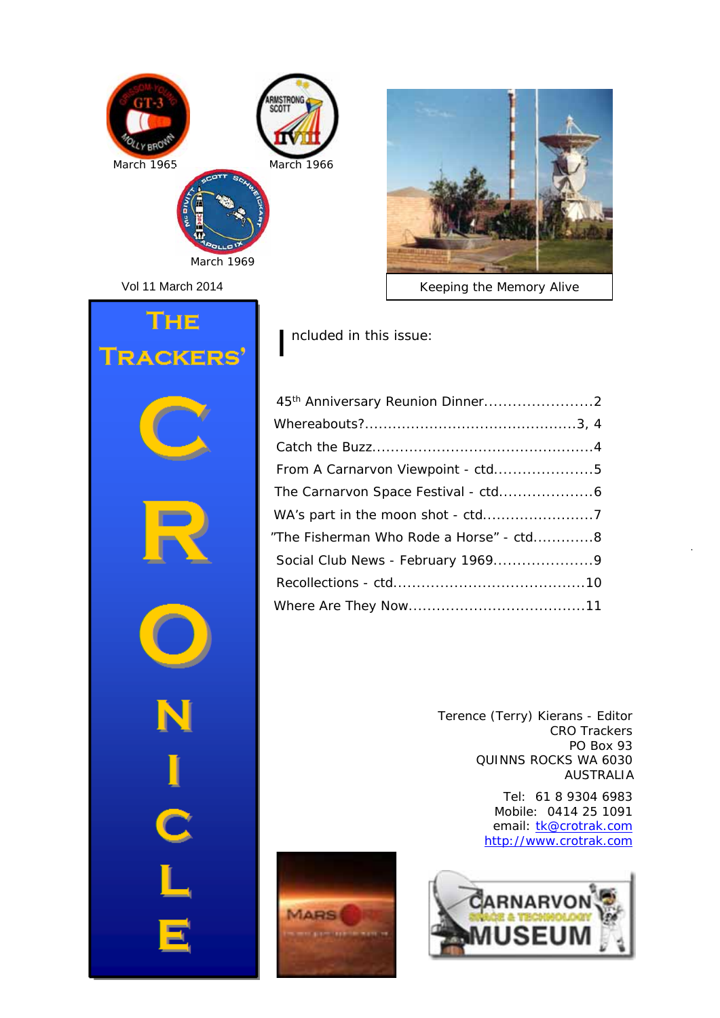

Vol 11 March 2014





*Keeping the Memory Alive*

I ncluded in this issue:

| From A Carnarvon Viewpoint - ctd5       |  |
|-----------------------------------------|--|
|                                         |  |
|                                         |  |
| "The Fisherman Who Rode a Horse" - ctd8 |  |
|                                         |  |
|                                         |  |
|                                         |  |

Terence (Terry) Kierans - Editor CRO Trackers PO Box 93 QUINNS ROCKS WA 6030 AUSTRALIA

> Tel: 61 8 9304 6983 Mobile: 0414 25 1091 email: tk@crotrak.com http://www.crotrak.com



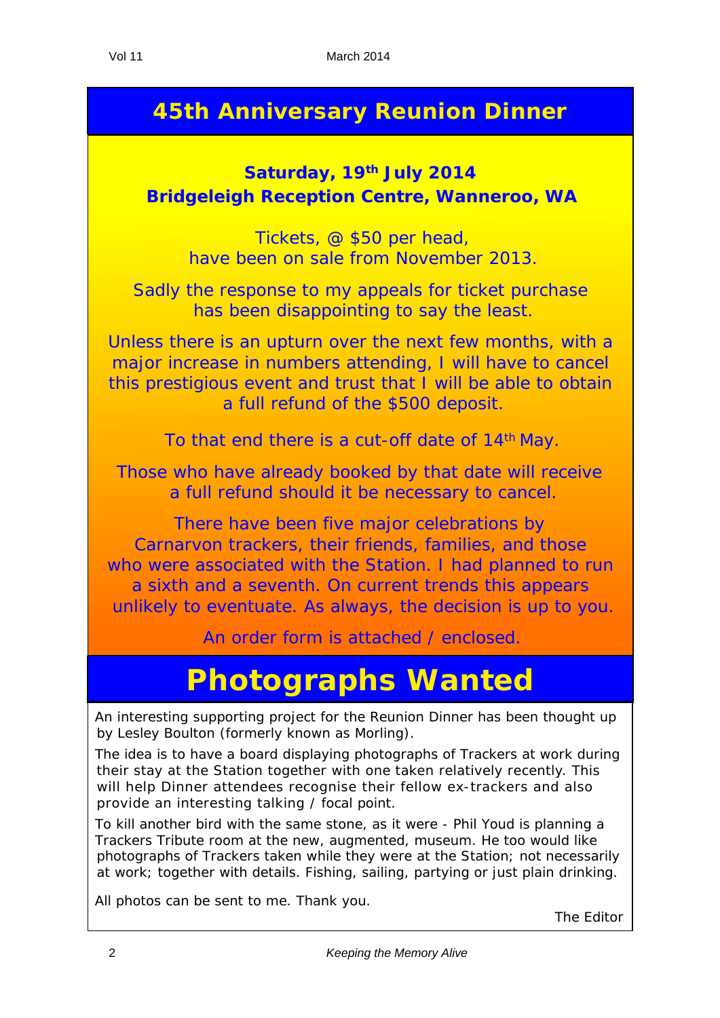## **45th Anniversary Reunion Dinner**

### **Saturday, 19th July 2014 Bridgeleigh Reception Centre, Wanneroo, WA**

Tickets, @ \$50 per head, have been on sale from November 2013.

Sadly the response to my appeals for ticket purchase has been disappointing to say the least.

Unless there is an upturn over the next few months, with a major increase in numbers attending, I will have to cancel this prestigious event and trust that I will be able to obtain a full refund of the \$500 deposit.

To that end there is a cut-off date of 14<sup>th</sup> May.

Those who have already booked by that date will receive a full refund should it be necessary to cancel.

There have been five major celebrations by Carnarvon trackers, their friends, families, and those who were associated with the Station. I had planned to run a sixth and a seventh. On current trends this appears unlikely to eventuate. As always, the decision is up to you.

An order form is attached / enclosed.

# **Photographs Wanted**

An interesting supporting project for the Reunion Dinner has been thought up by Lesley Boulton (formerly known as Morling).

The idea is to have a board displaying photographs of Trackers at work during their stay at the Station together with one taken relatively recently. This will help Dinner attendees recognise their fellow ex-trackers and also provide an interesting talking / focal point.

To kill another bird with the same stone, as it were - Phil Youd is planning a Trackers Tribute room at the new, augmented, museum. He too would like photographs of Trackers taken while they were at the Station; not necessarily at work; together with details. Fishing, sailing, partying or just plain drinking.

All photos can be sent to me. Thank you.

The Editor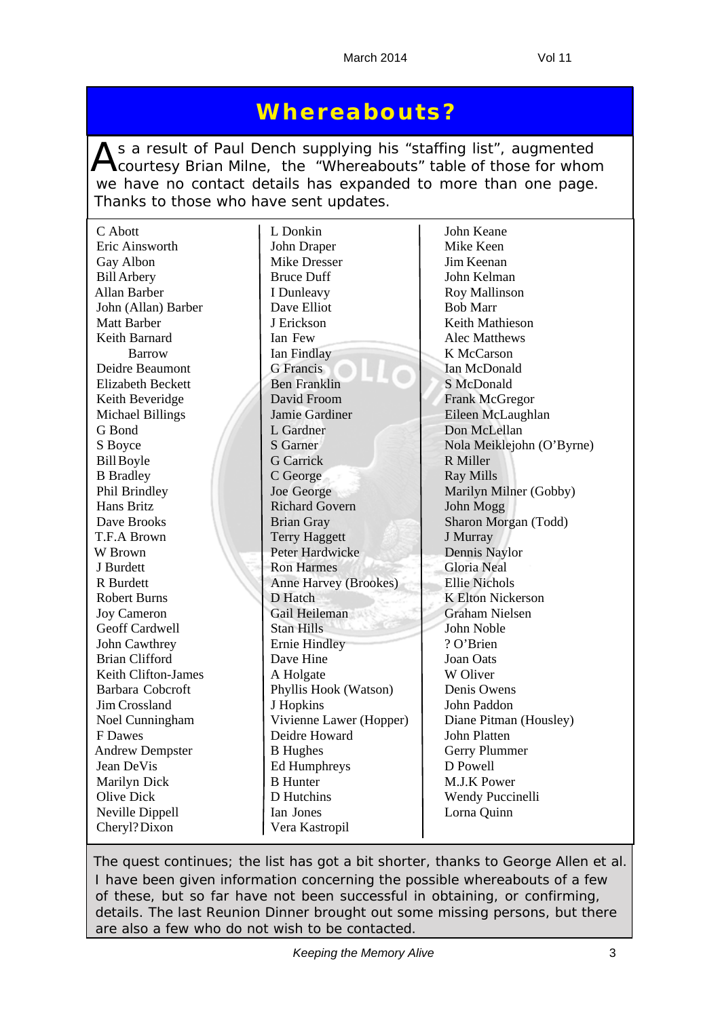## **Whereabouts?**

As a result of Paul Dench supplying his "staffing list", augmented<br>Courtesy Brian Milne, the "Whereabouts" table of those for whom we have no contact details has expanded to more than one page. Thanks to those who have sent updates.

| C Abott                  | L Donkin                     | John Keane                |
|--------------------------|------------------------------|---------------------------|
| Eric Ainsworth           | John Draper                  | Mike Keen                 |
| Gay Albon                | <b>Mike Dresser</b>          | Jim Keenan                |
| <b>Bill Arbery</b>       | <b>Bruce Duff</b>            | John Kelman               |
| Allan Barber             | I Dunleavy                   | <b>Roy Mallinson</b>      |
| John (Allan) Barber      | Dave Elliot                  | <b>Bob Marr</b>           |
| <b>Matt Barber</b>       | J Erickson                   | Keith Mathieson           |
| Keith Barnard            | Ian Few                      | Alec Matthews             |
| <b>Barrow</b>            | Ian Findlay                  | K McCarson                |
| Deidre Beaumont          | <b>G</b> Francis             | Ian McDonald              |
| <b>Elizabeth Beckett</b> | <b>Ben Franklin</b>          | S McDonald                |
| Keith Beveridge          | David Froom                  | <b>Frank McGregor</b>     |
| <b>Michael Billings</b>  | Jamie Gardiner               | Eileen McLaughlan         |
| G Bond                   | L Gardner                    | Don McLellan              |
| S Boyce                  | <b>S</b> Garner              | Nola Meiklejohn (O'Byrne) |
| <b>Bill Boyle</b>        | <b>G</b> Carrick             | R Miller                  |
| <b>B</b> Bradley         | C George                     | <b>Ray Mills</b>          |
| Phil Brindley            | Joe George                   | Marilyn Milner (Gobby)    |
| Hans Britz               | <b>Richard Govern</b>        | John Mogg                 |
| Dave Brooks              | <b>Brian Gray</b>            | Sharon Morgan (Todd)      |
| T.F.A Brown              | <b>Terry Haggett</b>         | J Murray                  |
| W Brown                  | Peter Hardwicke              | Dennis Naylor             |
| J Burdett                | <b>Ron Harmes</b>            | <b>Gloria Neal</b>        |
| R Burdett                | <b>Anne Harvey (Brookes)</b> | <b>Ellie Nichols</b>      |
| <b>Robert Burns</b>      | D Hatch                      | <b>K Elton Nickerson</b>  |
| <b>Joy Cameron</b>       | Gail Heileman                | <b>Graham Nielsen</b>     |
| Geoff Cardwell           | <b>Stan Hills</b>            | John Noble                |
| John Cawthrey            | <b>Ernie Hindley</b>         | ? O'Brien                 |
| <b>Brian Clifford</b>    | Dave Hine                    | Joan Oats                 |
| Keith Clifton-James      | A Holgate                    | W Oliver                  |
| <b>Barbara Cobcroft</b>  | Phyllis Hook (Watson)        | Denis Owens               |
| Jim Crossland            | J Hopkins                    | John Paddon               |
| Noel Cunningham          | Vivienne Lawer (Hopper)      | Diane Pitman (Housley)    |
| F Dawes                  | Deidre Howard                | John Platten              |
| <b>Andrew Dempster</b>   | <b>B</b> Hughes              | Gerry Plummer             |
| Jean DeVis               | <b>Ed Humphreys</b>          | D Powell                  |
| Marilyn Dick             | <b>B</b> Hunter              | M.J.K Power               |
| <b>Olive Dick</b>        | D Hutchins                   | Wendy Puccinelli          |
| Neville Dippell          | Ian Jones                    | Lorna Quinn               |
| Cheryl? Dixon            | Vera Kastropil               |                           |

*The quest continues; the list has got a bit shorter, thanks to George Allen et al. I have been given information concerning the possible whereabouts of a few of these, but so far have not been successful in obtaining, or confirming, details. The last Reunion Dinner brought out some missing persons, but there are also a few who do not wish to be contacted.*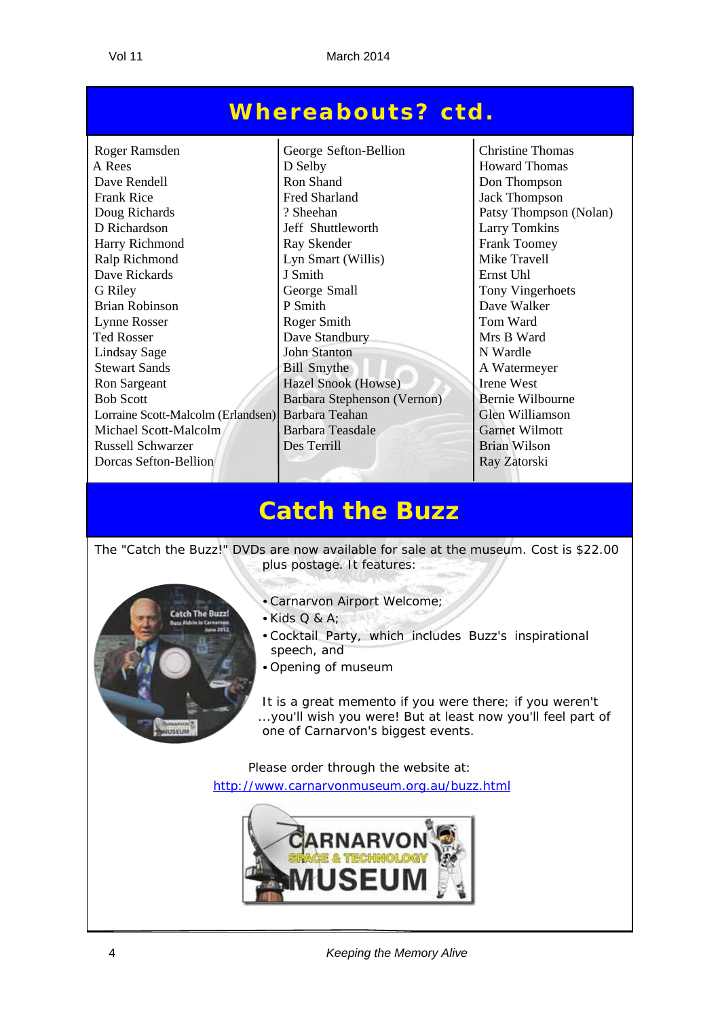### **Whereabouts? ctd.**

Roger Ramsden George Sefton-Bellion Christine Thomas A Rees D Selby Howard Thomas Dave Rendell Ron Shand Ron Shand Don Thompson<br>Frank Rice Fred Sharland Jack Thompson Frank Rice **Fred Sharland** Jack Thompson Doug Richards 2. Sheehan Patsy Thompson (Nolan) D Richardson Jeff Shuttleworth Larry Tomkins Harry Richmond Ray Skender Frank Toomey Ralp Richmond Lyn Smart (Willis) Mike Travell Dave Rickards J I Smith Ernst Uhl G Riley George Small Tony Vingerhoets Brian Robinson P Smith Dave Walker Lynne Rosser Roger Smith Roger Smith Tom Ward Ted Rosser Dave Standbury Mrs B Ward Lindsay Sage John Stanton N Wardle Stewart Sands Bill Smythe A Watermeyer Ron Sargeant Hazel Snook (Howse) Irene West Bob Scott Barbara Stephenson (Vernon) Bernie Wilbourne Lorraine Scott-Malcolm (Erlandsen) Barbara Teahan Glen Williamson Glen Williamson Barbara Teasdale Garnet Wilmott Michael Scott-Malcolm Russell Schwarzer **Des Terrill** Des Terrill Brian Wilson **Dorcas Sefton-Bellion Ray Zatorski** 

## **Catch the Buzz**

The "Catch the Buzz!" DVDs are now available for sale at the museum. Cost is \$22.00 plus postage. It features:



- Carnarvon Airport Welcome;
- $\bullet$  Kids Q & A:
- Cocktail Party, which includes Buzz's inspirational speech, and
- Opening of museum

It is a great memento if you were there; if you weren't ...you'll wish you were! But at least now you'll feel part of one of Carnarvon's biggest events.

Please order through the website at: http://www.carnarvonmuseum.org.au/buzz.html



4 *Keeping the Memory Alive*

 $\overline{a}$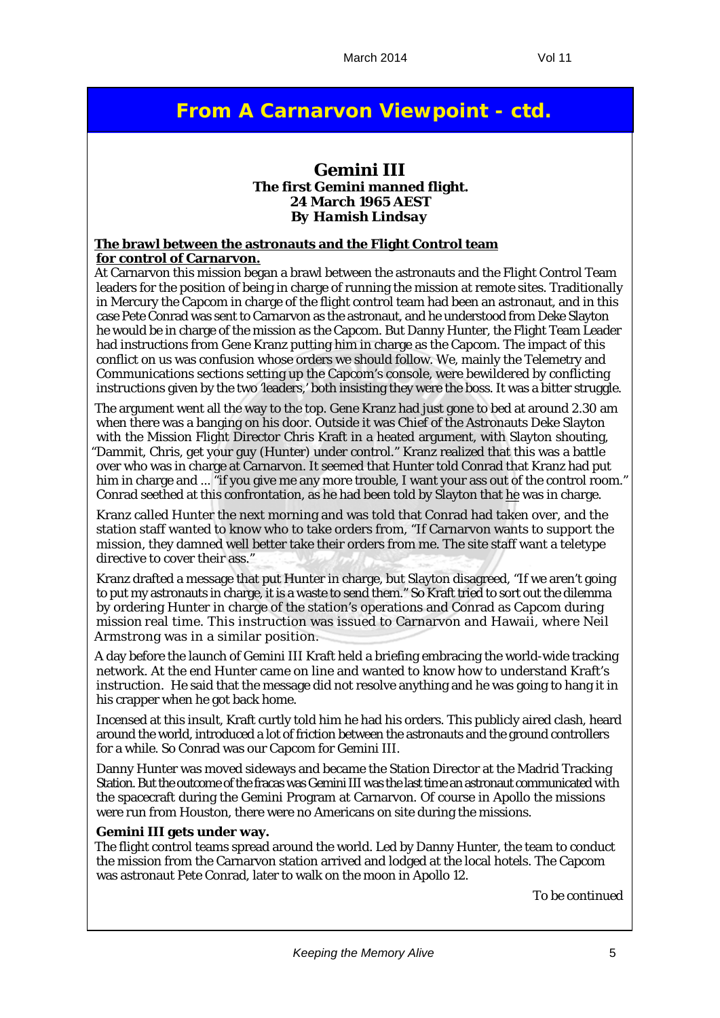### **From A Carnarvon Viewpoint - ctd.**

#### **Gemini III The first Gemini manned flight. 24 March 1965 AEST** *By Hamish Lindsay*

#### **The brawl between the astronauts and the Flight Control team for control of Carnarvon.**

At Carnarvon this mission began a brawl between the astronauts and the Flight Control Team leaders for the position of being in charge of running the mission at remote sites. Traditionally in Mercury the Capcom in charge of the flight control team had been an astronaut, and in this case Pete Conrad was sent to Carnarvon as the astronaut, and he understood from Deke Slayton he would be in charge of the mission as the Capcom. But Danny Hunter, the Flight Team Leader had instructions from Gene Kranz putting him in charge as the Capcom. The impact of this conflict on us was confusion whose orders we should follow. We, mainly the Telemetry and Communications sections setting up the Capcom's console, were bewildered by conflicting instructions given by the two 'leaders,' both insisting they were the boss. It was a bitter struggle.

The argument went all the way to the top. Gene Kranz had just gone to bed at around 2.30 am when there was a banging on his door. Outside it was Chief of the Astronauts Deke Slayton with the Mission Flight Director Chris Kraft in a heated argument, with Slayton shouting, "Dammit, Chris, get your guy (Hunter) under control." Kranz realized that this was a battle over who was in charge at Carnarvon. It seemed that Hunter told Conrad that Kranz had put him in charge and ... "if you give me any more trouble, I want your ass out of the control room." Conrad seethed at this confrontation, as he had been told by Slayton that he was in charge.

Kranz called Hunter the next morning and was told that Conrad had taken over, and the station staff wanted to know who to take orders from, "If Carnarvon wants to support the mission, they damned well better take their orders from me. The site staff want a teletype directive to cover their ass."

Kranz drafted a message that put Hunter in charge, but Slayton disagreed, "If we aren't going to put my astronauts in charge, it is a waste to send them." So Kraft tried to sort out the dilemma by ordering Hunter in charge of the station's operations and Conrad as Capcom during mission real time. This instruction was issued to Carnarvon and Hawaii, where Neil Armstrong was in a similar position.

A day before the launch of Gemini III Kraft held a briefing embracing the world-wide tracking network. At the end Hunter came on line and wanted to know how to understand Kraft's instruction. He said that the message did not resolve anything and he was going to hang it in his crapper when he got back home.

Incensed at this insult, Kraft curtly told him he had his orders. This publicly aired clash, heard around the world, introduced a lot of friction between the astronauts and the ground controllers for a while. So Conrad was our Capcom for Gemini III.

Danny Hunter was moved sideways and became the Station Director at the Madrid Tracking Station. But the outcome of the fracas was Gemini III was the last time an astronaut communicated with the spacecraft during the Gemini Program at Carnarvon. Of course in Apollo the missions were run from Houston, there were no Americans on site during the missions.

#### **Gemini III gets under way.**

The flight control teams spread around the world. Led by Danny Hunter, the team to conduct the mission from the Carnarvon station arrived and lodged at the local hotels. The Capcom was astronaut Pete Conrad, later to walk on the moon in Apollo 12.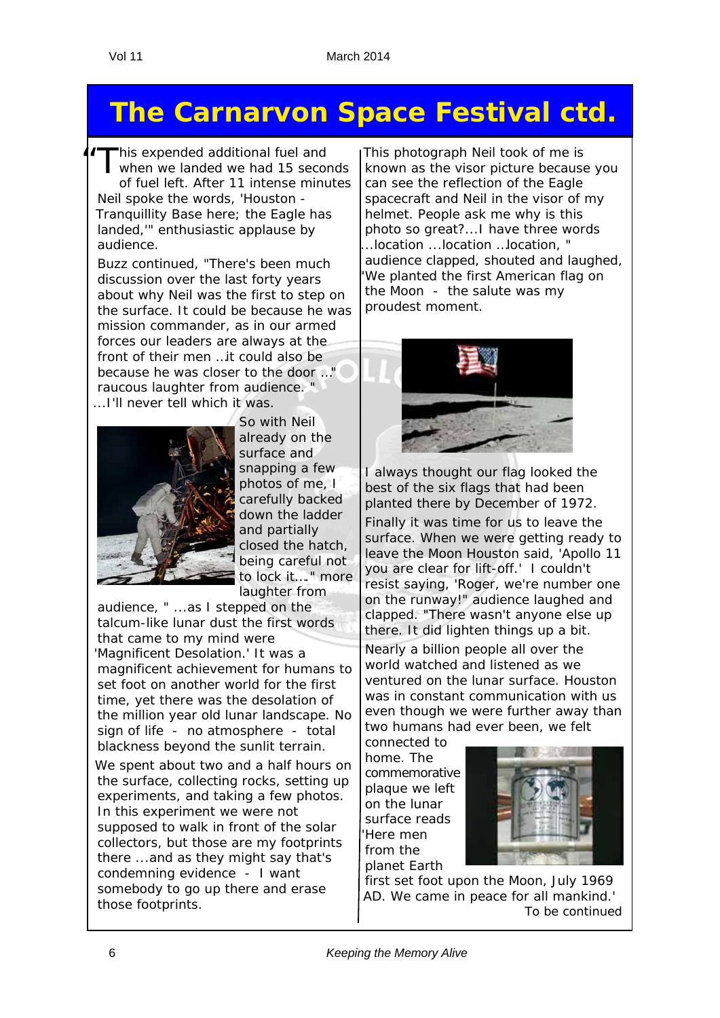# **The Carnarvon Space Festival ctd.**

If This expended additional fuel and<br>
when we landed we had 15 seconds of fuel left. After 11 intense minutes Neil spoke the words, 'Houston - Tranquillity Base here; the Eagle has landed,'" enthusiastic applause by audience.

Buzz continued, "There's been much discussion over the last forty years about why Neil was the first to step on the surface. It could be because he was mission commander, as in our armed forces our leaders are always at the front of their men …it could also be because he was closer to the door …" raucous laughter from audience. " ...I'll never tell which it was.



So with Neil already on the surface and snapping a few photos of me, I carefully backed down the ladder and partially closed the hatch, being careful not to lock it…." more laughter from

audience, " ...as I stepped on the talcum-like lunar dust the first words that came to my mind were 'Magnificent Desolation.' It was a magnificent achievement for humans to set foot on another world for the first time, yet there was the desolation of the million year old lunar landscape. No sign of life - no atmosphere - total blackness beyond the sunlit terrain.

We spent about two and a half hours on the surface, collecting rocks, setting up experiments, and taking a few photos. In this experiment we were not supposed to walk in front of the solar collectors, but those are my footprints there ...and as they might say that's condemning evidence - I want somebody to go up there and erase those footprints.

This photograph Neil took of me is known as the visor picture because you can see the reflection of the Eagle spacecraft and Neil in the visor of my helmet. People ask me why is this photo so great?...I have three words ...location ...location …location, " audience clapped, shouted and laughed, We planted the first American flag on the Moon - the salute was my proudest moment.



I always thought our flag looked the best of the six flags that had been planted there by December of 1972.

Finally it was time for us to leave the surface. When we were getting ready to leave the Moon Houston said, 'Apollo 11 you are clear for lift-off.' I couldn't resist saying, 'Roger, we're number one on the runway!" audience laughed and clapped. "There wasn't anyone else up there. It did lighten things up a bit.

Nearly a billion people all over the world watched and listened as we ventured on the lunar surface. Houston was in constant communication with us even though we were further away than two humans had ever been, we felt

connected to home. The commemorative plaque we left on the lunar surface reads '*Here men from the planet Earth* 



*first set foot upon the Moon, July 1969 AD. We came in peace for all mankind.*' *To be continued*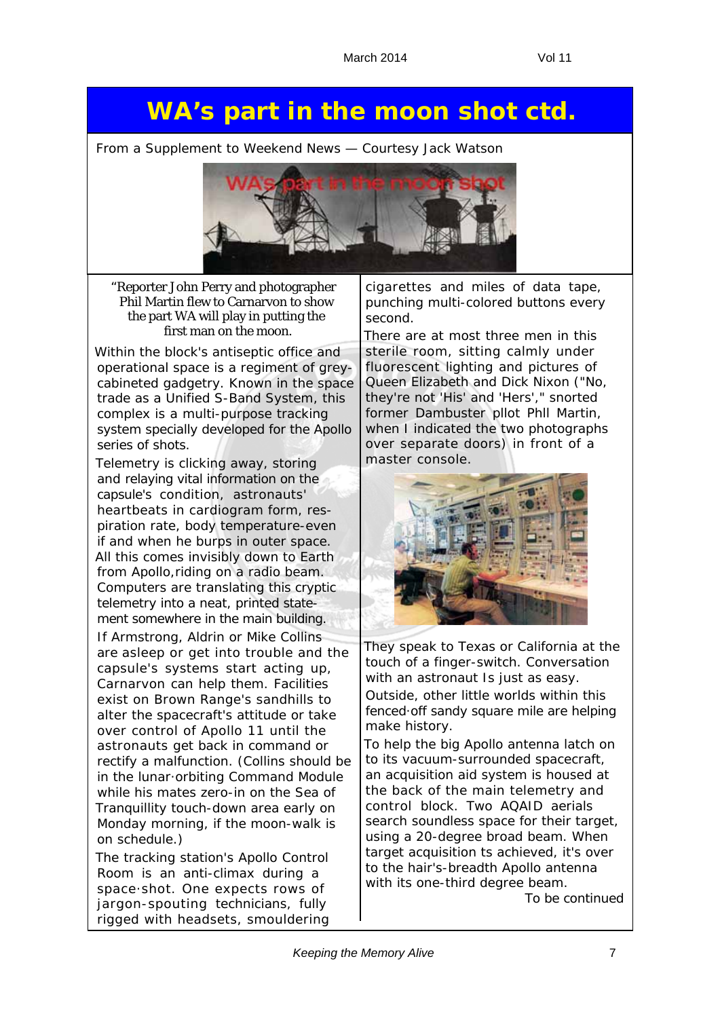## **WA's part in the moon shot ctd.**

*From a Supplement to Weekend News — Courtesy Jack Watson*



"Reporter John Perry and photographer Phil Martin flew to Carnarvon to show the part WA will play in putting the first man on the moon.

Within the block's antiseptic office and operational space is a regiment of greycabineted gadgetry. Known in the space trade as a Unified S-Band System, this complex is a multi-purpose tracking system specially developed for the Apollo series of shots.

Telemetry is clicking away, storing and relaying vital information on the capsule's condition, astronauts' heartbeats in cardiogram form, respiration rate, body temperature-even if and when he burps in outer space. All this comes invisibly down to Earth from Apollo,riding on a radio beam. Computers are translating this cryptic telemetry into a neat, printed statement somewhere in the main building. If Armstrong, Aldrin or Mike Collins are asleep or get into trouble and the capsule's systems start acting up, Carnarvon can help them. Facilities exist on Brown Range's sandhills to alter the spacecraft's attitude or take over control of Apollo 11 until the astronauts get back in command or rectify a malfunction. (Collins should be in the lunar·orbiting Command Module while his mates zero-in on the Sea of Tranquillity touch-down area early on Monday morning, if the moon-walk is on schedule.)

The tracking station's Apollo Control Room is an anti-climax during a space·shot. One expects rows of jargon-spouting technicians, fully rigged with headsets, smouldering

cigarettes and miles of data tape, punching multi-colored buttons every second.

There are at most three men in this sterile room, sitting calmly under fluorescent lighting and pictures of Queen Elizabeth and Dick Nixon ("No, they're not 'His' and 'Hers'," snorted former Dambuster pllot Phll Martin, when I indicated the two photographs over separate doors) in front of a master console.



They speak to Texas or California at the touch of a finger-switch. Conversation with an astronaut Is just as easy. Outside, other little worlds within this fenced·off sandy square mile are helping make history.

To help the big Apollo antenna latch on to its vacuum-surrounded spacecraft, an acquisition aid system is housed at the back of the main telemetry and control block. Two AQAID aerials search soundless space for their target, using a 20-degree broad beam. When target acquisition ts achieved, it's over to the hair's-breadth Apollo antenna with its one-third degree beam.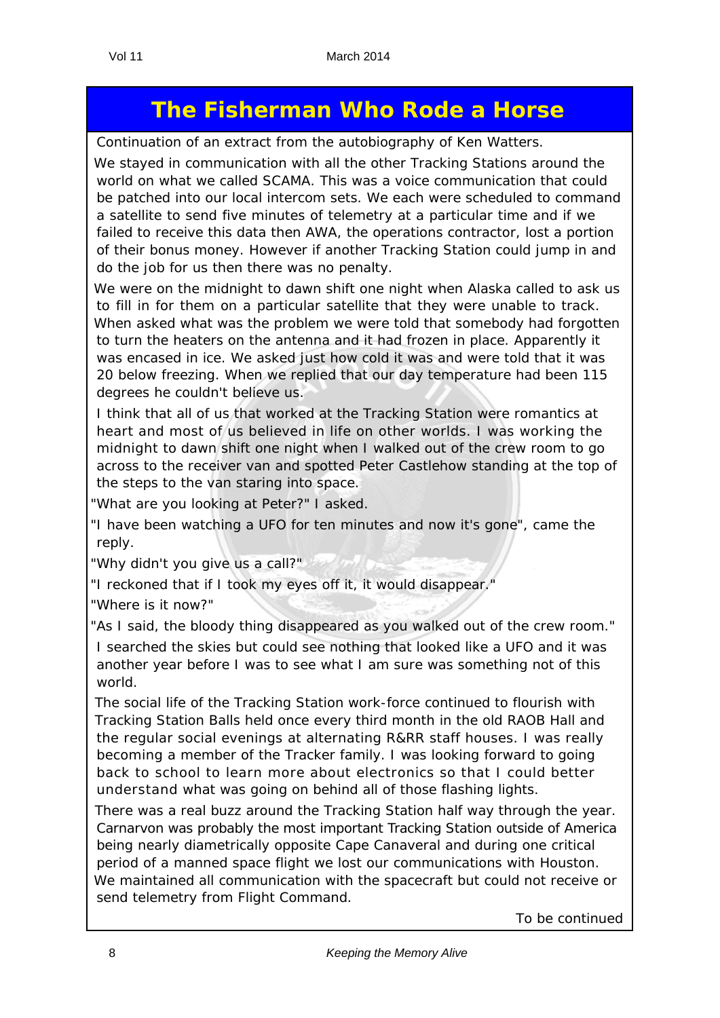## **The Fisherman Who Rode a Horse**

*Continuation of an extract from the autobiography of Ken Watters.*

We stayed in communication with all the other Tracking Stations around the world on what we called SCAMA. This was a voice communication that could be patched into our local intercom sets. We each were scheduled to command a satellite to send five minutes of telemetry at a particular time and if we failed to receive this data then AWA, the operations contractor, lost a portion of their bonus money. However if another Tracking Station could jump in and do the job for us then there was no penalty.

We were on the midnight to dawn shift one night when Alaska called to ask us to fill in for them on a particular satellite that they were unable to track. When asked what was the problem we were told that somebody had forgotten to turn the heaters on the antenna and it had frozen in place. Apparently it was encased in ice. We asked just how cold it was and were told that it was 20 below freezing. When we replied that our day temperature had been 115 degrees he couldn't believe us.

I think that all of us that worked at the Tracking Station were romantics at heart and most of us believed in life on other worlds. I was working the midnight to dawn shift one night when I walked out of the crew room to go across to the receiver van and spotted Peter Castlehow standing at the top of the steps to the van staring into space.

"*What are you looking at Peter?*" I asked.

"*I have been watching a UFO for ten minutes and now it's gone*", came the reply.

"*Why didn't you give us a call?*"

"*I reckoned that if I took my eyes off it, it would disappear*."

"*Where is it now?*"

"*As I said, the bloody thing disappeared as you walked out of the crew room*."

I searched the skies but could see nothing that looked like a UFO and it was another year before I was to see what I am sure was something not of this world.

The social life of the Tracking Station work-force continued to flourish with Tracking Station Balls held once every third month in the old RAOB Hall and the regular social evenings at alternating R&RR staff houses. I was really becoming a member of the Tracker family. I was looking forward to going back to school to learn more about electronics so that I could better understand what was going on behind all of those flashing lights.

There was a real buzz around the Tracking Station half way through the year. Carnarvon was probably the most important Tracking Station outside of America being nearly diametrically opposite Cape Canaveral and during one critical period of a manned space flight we lost our communications with Houston. We maintained all communication with the spacecraft but could not receive or send telemetry from Flight Command.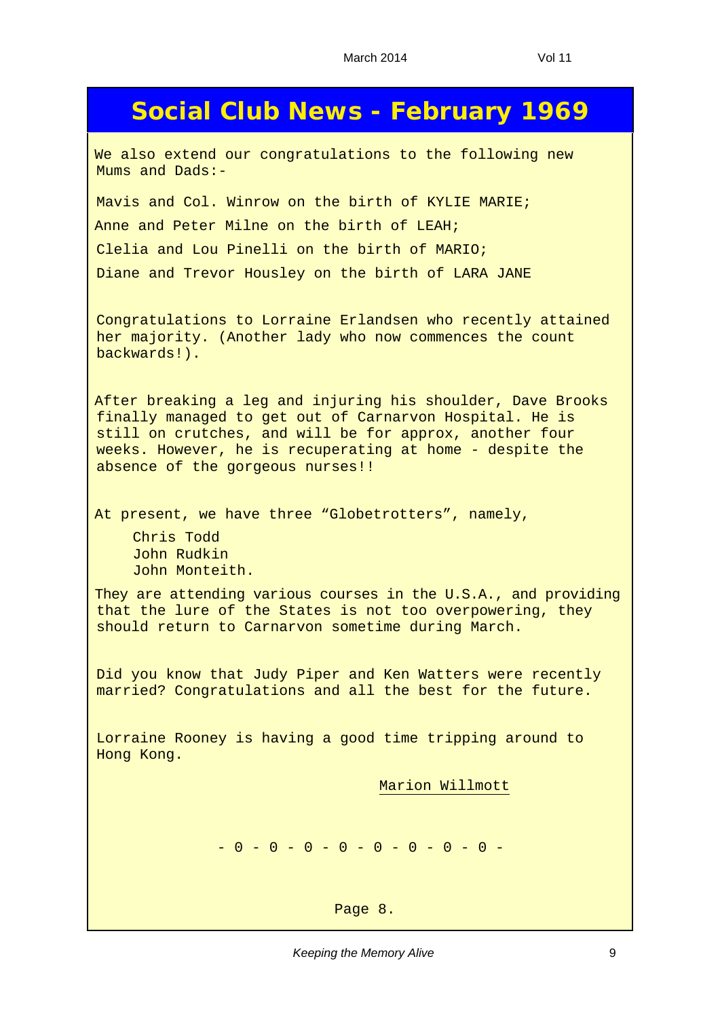### **Social Club News - February 1969**

We also extend our congratulations to the following new Mums and Dads:-

Mavis and Col. Winrow on the birth of KYLIE MARIE; Anne and Peter Milne on the birth of LEAH; Clelia and Lou Pinelli on the birth of MARIO; Diane and Trevor Housley on the birth of LARA JANE

Congratulations to Lorraine Erlandsen who recently attained her majority. (Another lady who now commences the count backwards!).

After breaking a leg and injuring his shoulder, Dave Brooks finally managed to get out of Carnarvon Hospital. He is still on crutches, and will be for approx, another four weeks. However, he is recuperating at home - despite the absence of the gorgeous nurses!!

At present, we have three "Globetrotters", namely,

Chris Todd John Rudkin John Monteith.

They are attending various courses in the U.S.A., and providing that the lure of the States is not too overpowering, they should return to Carnarvon sometime during March.

Did you know that Judy Piper and Ken Watters were recently married? Congratulations and all the best for the future.

Lorraine Rooney is having a good time tripping around to Hong Kong.

Marion Willmott

 $-0 - 0 - 0 - 0 - 0 - 0 - 0 - 0 - 0 -$ 

Page 8.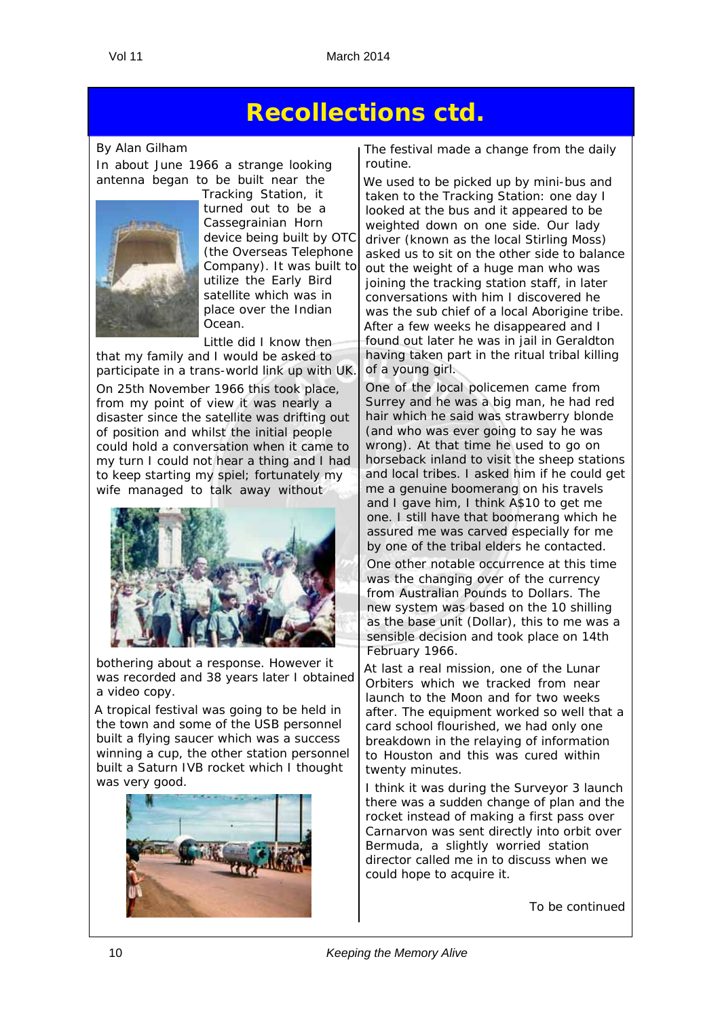## **Recollections ctd.**

*By Alan Gilham* In about June 1966 a strange looking antenna began to be built near the



Tracking Station, it turned out to be a Cassegrainian Horn device being built by OTC (the Overseas Telephone Company). It was built to utilize the Early Bird satellite which was in place over the Indian Ocean.

Little did I know then that my family and I would be asked to participate in a trans-world link up with UK.

On 25th November 1966 this took place, from my point of view it was nearly a disaster since the satellite was drifting out of position and whilst the initial people could hold a conversation when it came to my turn I could not hear a thing and I had to keep starting my spiel; fortunately my wife managed to talk away without



bothering about a response. However it was recorded and 38 years later I obtained a video copy.

A tropical festival was going to be held in the town and some of the USB personnel built a flying saucer which was a success winning a cup, the other station personnel built a Saturn IVB rocket which I thought was very good.



The festival made a change from the daily routine.

We used to be picked up by mini-bus and taken to the Tracking Station: one day I looked at the bus and it appeared to be weighted down on one side. Our lady driver (known as the local Stirling Moss) asked us to sit on the other side to balance out the weight of a huge man who was joining the tracking station staff, in later conversations with him I discovered he was the sub chief of a local Aborigine tribe. After a few weeks he disappeared and I found out later he was in jail in Geraldton having taken part in the ritual tribal killing of a young girl.

One of the local policemen came from Surrey and he was a big man, he had red hair which he said was strawberry blonde (and who was ever going to say he was wrong). At that time he used to go on horseback inland to visit the sheep stations and local tribes. I asked him if he could get me a genuine boomerang on his travels and I gave him, I think A\$10 to get me one. I still have that boomerang which he assured me was carved especially for me by one of the tribal elders he contacted.

One other notable occurrence at this time was the changing over of the currency from Australian Pounds to Dollars. The new system was based on the 10 shilling as the base unit (Dollar), this to me was a sensible decision and took place on 14th February 1966.

At last a real mission, one of the Lunar Orbiters which we tracked from near launch to the Moon and for two weeks after. The equipment worked so well that a card school flourished, we had only one breakdown in the relaying of information to Houston and this was cured within twenty minutes.

I think it was during the Surveyor 3 launch there was a sudden change of plan and the rocket instead of making a first pass over Carnarvon was sent directly into orbit over Bermuda, a slightly worried station director called me in to discuss when we could hope to acquire it.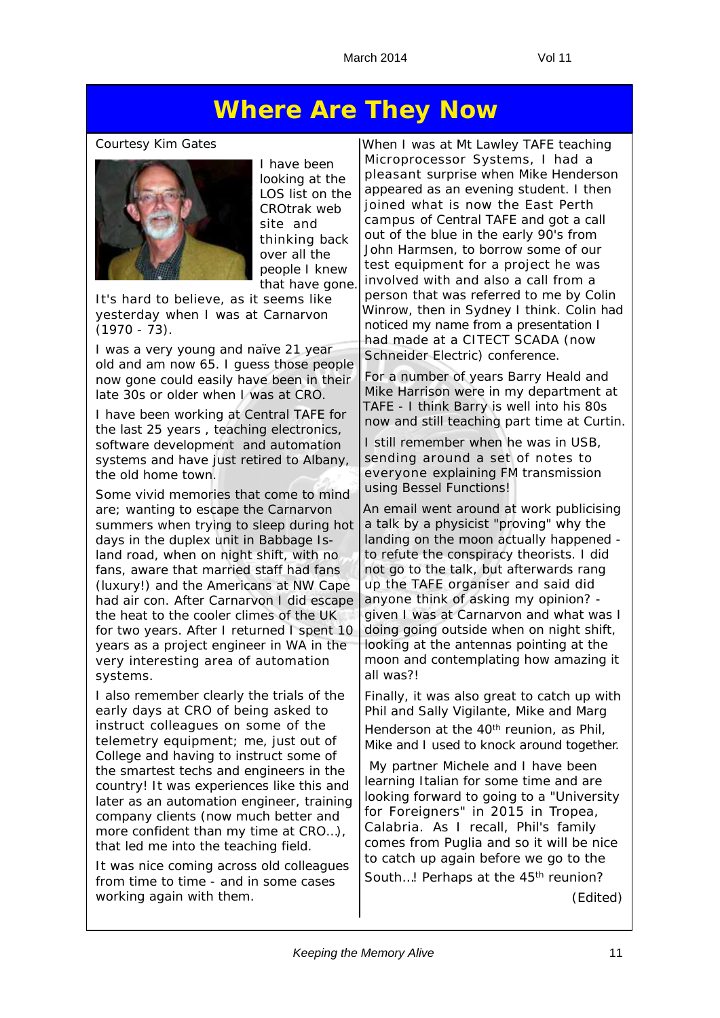## **Where Are They Now**

#### *Courtesy Kim Gates*



I have been looking at the LOS list on the CROtrak web site and thinking back over all the people I knew that have gone.

It's hard to believe, as it seems like yesterday when I was at Carnarvon  $(1970 - 73)$ .

I was a very young and naïve 21 year old and am now 65. I guess those people now gone could easily have been in their late 30s or older when I was at CRO.

I have been working at Central TAFE for the last 25 years , teaching electronics, software development and automation systems and have just retired to Albany, the old home town.

Some vivid memories that come to mind are; wanting to escape the Carnarvon summers when trying to sleep during hot days in the duplex unit in Babbage Island road, when on night shift, with no fans, aware that married staff had fans (luxury!) and the Americans at NW Cape had air con. After Carnarvon I did escape the heat to the cooler climes of the UK for two years. After I returned I spent 10 years as a project engineer in WA in the very interesting area of automation systems.

I also remember clearly the trials of the early days at CRO of being asked to instruct colleagues on some of the telemetry equipment; me, just out of College and having to instruct some of the smartest techs and engineers in the country! It was experiences like this and later as an automation engineer, training company clients (now much better and more confident than my time at CRO…), that led me into the teaching field.

It was nice coming across old colleagues from time to time - and in some cases working again with them.

When I was at Mt Lawley TAFE teaching Microprocessor Systems, I had a pleasant surprise when Mike Henderson appeared as an evening student. I then joined what is now the East Perth campus of Central TAFE and got a call out of the blue in the early 90's from John Harmsen, to borrow some of our test equipment for a project he was involved with and also a call from a person that was referred to me by Colin Winrow, then in Sydney I think. Colin had noticed my name from a presentation I had made at a CITECT SCADA (now Schneider Electric) conference.

For a number of years Barry Heald and Mike Harrison were in my department at TAFE - I think Barry is well into his 80s now and still teaching part time at Curtin.

I still remember when he was in USB, sending around a set of notes to everyone explaining FM transmission using Bessel Functions!

An email went around at work publicising a talk by a physicist "proving" why the landing on the moon actually happened to refute the conspiracy theorists. I did not go to the talk, but afterwards rang up the TAFE organiser and said did anyone think of asking my opinion? given I was at Carnarvon and what was I doing going outside when on night shift, looking at the antennas pointing at the moon and contemplating how amazing it all was?!

Finally, it was also great to catch up with Phil and Sally Vigilante, Mike and Marg Henderson at the 40<sup>th</sup> reunion, as Phil, Mike and I used to knock around together.

 My partner Michele and I have been learning Italian for some time and are looking forward to going to a "*University for Foreigners*" in 2015 in Tropea, Calabria. As I recall, Phil's family comes from Puglia and so it will be nice to catch up again before we go to the South...! Perhaps at the 45<sup>th</sup> reunion?

(Edited)